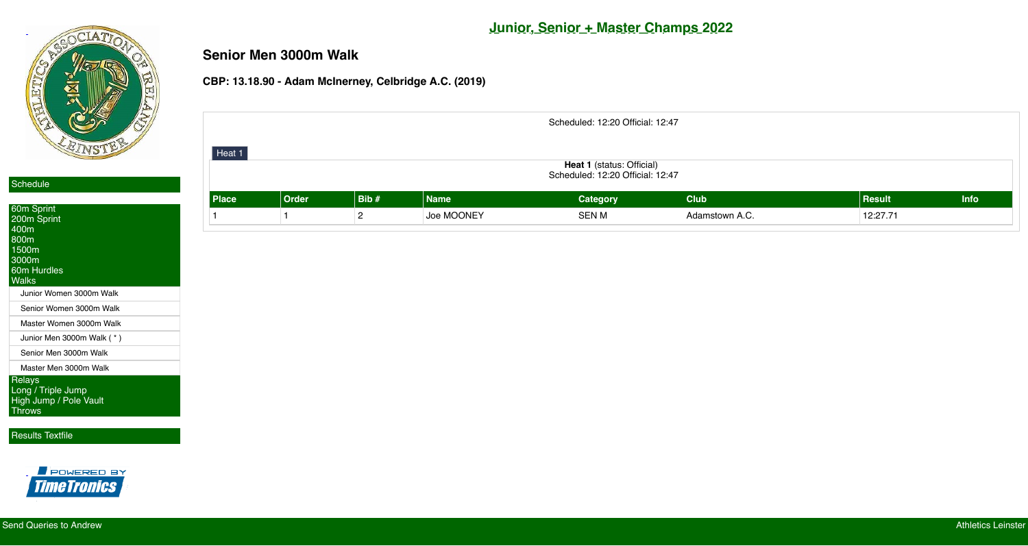

## **Junior, Senior + Master Champs 2022**

## **Senior Men 3000m Walk**

#### **CBP: 13.18.90 - Adam McInerney, Celbridge A.C. (2019)**

Scheduled: 12:20 Official: 12:47

| <b>60m Sprint</b>                                                              |
|--------------------------------------------------------------------------------|
| 200m Sprint                                                                    |
| 400m                                                                           |
| 800m                                                                           |
| 1500m<br>3000m                                                                 |
| <b>60m Hurdles</b>                                                             |
| Walks                                                                          |
| Junior Women 3000m Walk                                                        |
|                                                                                |
| Senior Women 3000m Walk                                                        |
| Master Women 3000m Walk                                                        |
| Junior Men 3000m Walk (*)                                                      |
| Senior Men 3000m Walk                                                          |
| Master Men 3000m Walk                                                          |
| <b>Relays</b><br>Long / Triple Jump<br>High Jump / Pole Vault<br><b>Throws</b> |

#### [Results Textfile](http://live.athleticsleinster.com/textfile.txt)



| ∣ ⊓eat I ∣<br><b>Heat 1</b> (status: Official)<br>Scheduled: 12:20 Official: 12:47 |              |      |            |                 |                |               |             |  |
|------------------------------------------------------------------------------------|--------------|------|------------|-----------------|----------------|---------------|-------------|--|
| <b>Place</b>                                                                       | <b>Order</b> | Bib# | Name       | <b>Category</b> | <b>Club</b>    | <b>Result</b> | <b>Info</b> |  |
|                                                                                    |              |      | Joe MOONEY | <b>SEN M</b>    | Adamstown A.C. | 12:27.71      |             |  |

| Heat 1       |              |                |             |
|--------------|--------------|----------------|-------------|
|              |              |                |             |
| <b>Place</b> | <b>Order</b> | Bib#           | <b>Name</b> |
|              | 1            | $\overline{2}$ | Joe MOONEY  |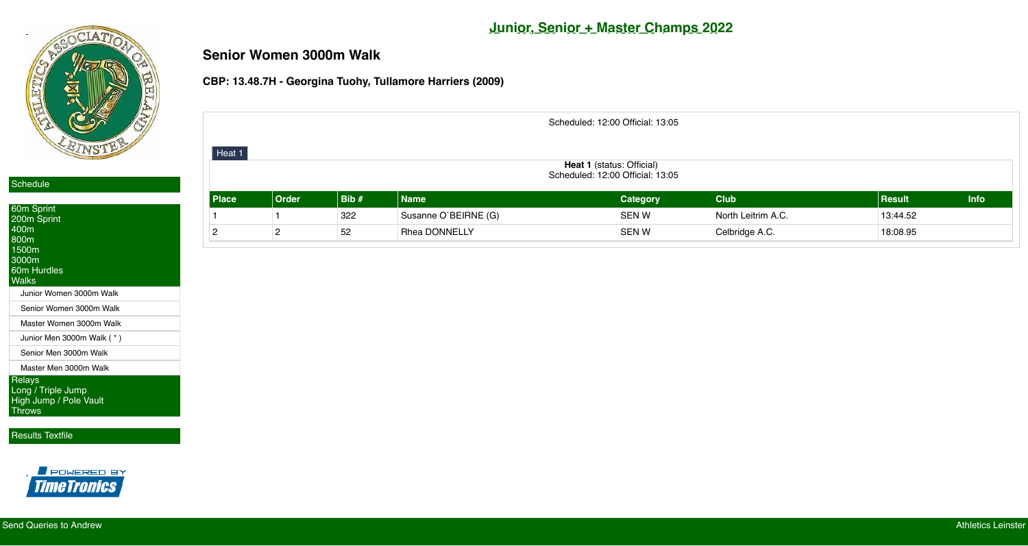

## **Junior, Senior + Master Champs 2022**

# **Senior Women 3000m Walk**

#### **CBP: 13.48.7H - Georgina Tuohy, Tullamore Harriers (2009)**

| 60m Sprint<br>200m Sprint<br>400m<br>800m<br>1500m<br>3000m<br>60m Hurdles<br><b>Walks</b> |
|--------------------------------------------------------------------------------------------|
| Junior Women 3000m Walk                                                                    |
| Senior Women 3000m Walk                                                                    |
| Master Women 3000m Walk                                                                    |
| Junior Men 3000m Walk (*)                                                                  |
| Senior Men 3000m Walk                                                                      |
| Master Men 3000m Walk                                                                      |
| Relays<br>Long / Triple Jump<br>High Jump / Pole Vault<br><b>Throws</b>                    |

[Results Textfile](http://live.athleticsleinster.com/textfile.txt)



| Scheduled: 12:00 Official: 13:05                                     |       |      |                      |                 |                    |               |             |  |  |  |
|----------------------------------------------------------------------|-------|------|----------------------|-----------------|--------------------|---------------|-------------|--|--|--|
| Heat 1                                                               |       |      |                      |                 |                    |               |             |  |  |  |
| <b>Heat 1</b> (status: Official)<br>Scheduled: 12:00 Official: 13:05 |       |      |                      |                 |                    |               |             |  |  |  |
| Place                                                                | Order | Bib# | <b>Name</b>          | <b>Category</b> | <b>Club</b>        | <b>Result</b> | <b>Info</b> |  |  |  |
|                                                                      |       | 322  | Susanne O'BEIRNE (G) | <b>SEN W</b>    | North Leitrim A.C. | 13:44.52      |             |  |  |  |
| $\overline{2}$                                                       | n     | 52   | <b>Rhea DONNELLY</b> | <b>SENW</b>     | Celbridge A.C.     | 18:08.95      |             |  |  |  |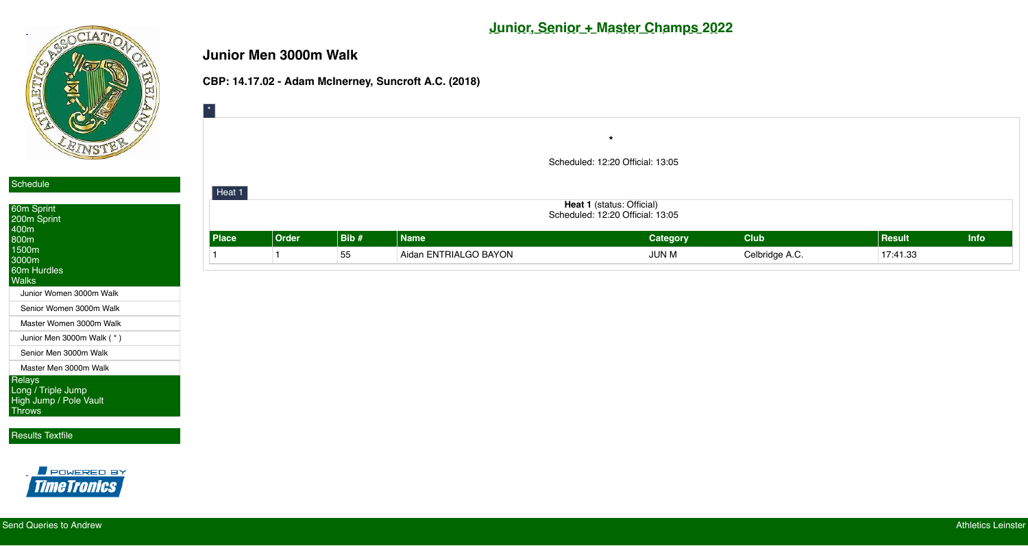



[Throws](javascript:void();)

[Results Textfile](http://live.athleticsleinster.com/textfile.txt)



## **Junior, Senior + Master Champs 2022**

## **Junior Men 3000m Walk**

### **CBP: 14.17.02 - Adam McInerney, Suncroft A.C. (2018)**

| <b>60m Sprint</b><br>200m Sprint<br>400m<br>800m<br>1500m<br>3000m<br>60m Hurdles<br><b>Walks</b> |
|---------------------------------------------------------------------------------------------------|
| Junior Women 3000m Walk                                                                           |
| Senior Women 3000m Walk                                                                           |
| Master Women 3000m Walk                                                                           |
| Junior Men 3000m Walk (*)                                                                         |
| Senior Men 3000m Walk                                                                             |
| Master Men 3000m Walk                                                                             |
| Relays<br>Long / Triple Jump<br><b>High Jump / Pole Vault</b>                                     |

| $\boxed{\ast}$         |       |                  |                       |                                  |                |            |      |
|------------------------|-------|------------------|-----------------------|----------------------------------|----------------|------------|------|
|                        |       |                  |                       | $\star$                          |                |            |      |
|                        |       |                  |                       |                                  |                |            |      |
|                        |       |                  |                       | Scheduled: 12:20 Official: 13:05 |                |            |      |
|                        |       |                  |                       |                                  |                |            |      |
| $\vert$ Heat 1 $\vert$ |       |                  |                       |                                  |                |            |      |
|                        |       |                  |                       | Heat 1 (status: Official)        |                |            |      |
|                        |       |                  |                       | Scheduled: 12:20 Official: 13:05 |                |            |      |
| Place                  | Order | $\vert$ Bib $\#$ | <b>Name</b>           | <b>Category</b>                  | <b>Club</b>    | $ $ Result | Info |
|                        |       | 55               | Aidan ENTRIALGO BAYON | <b>JUN M</b>                     | Celbridge A.C. | 17:41.33   |      |